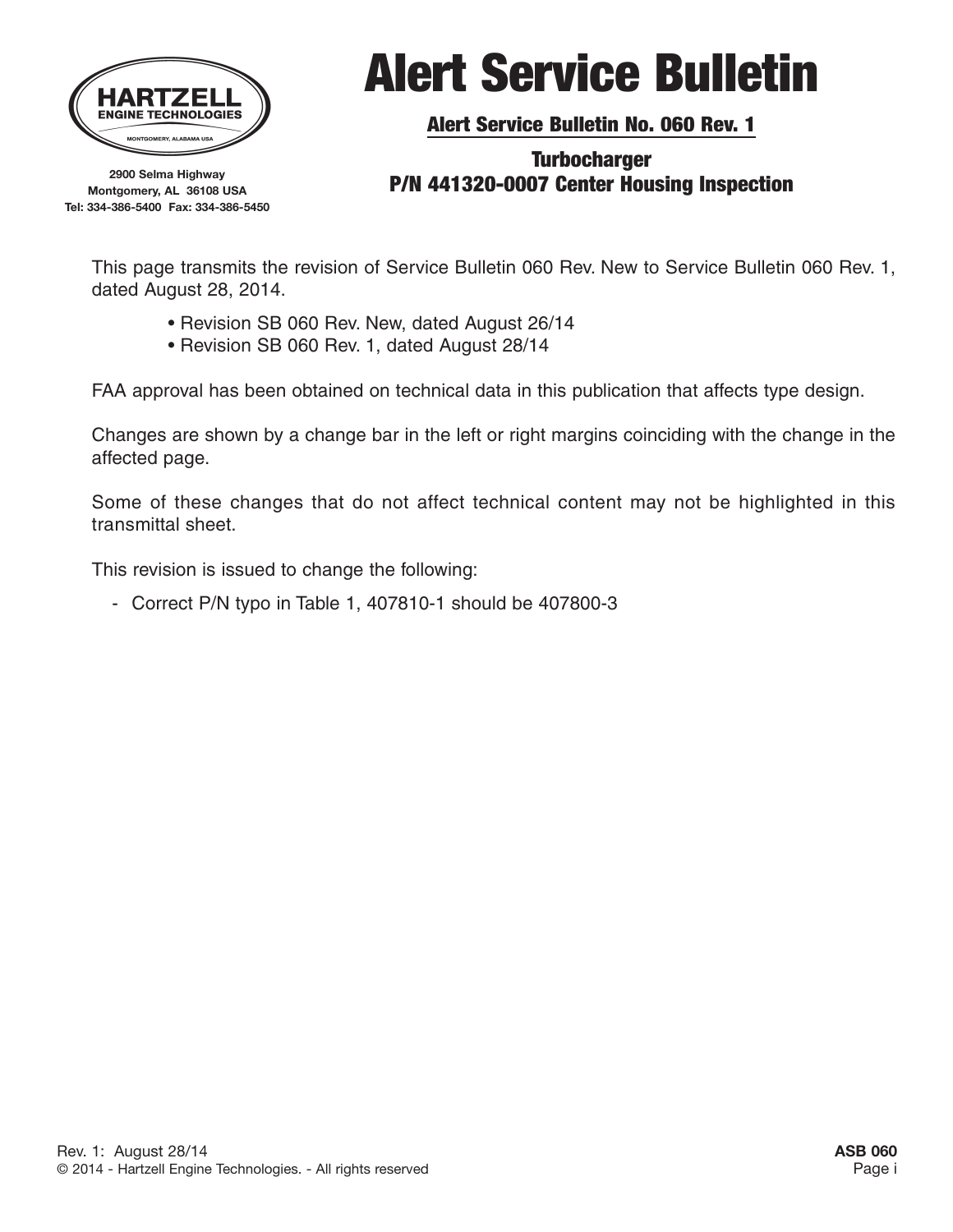

Alert Service Bulletin No. 060 Rev. 1

### **Turbocharger** P/N 441320-0007 Center Housing Inspection

**2900 Selma Highway Montgomery, AL 36108 USA Tel: 334-386-5400 Fax: 334-386-5450**

> This page transmits the revision of Service Bulletin 060 Rev. New to Service Bulletin 060 Rev. 1, dated August 28, 2014.

- Revision SB 060 Rev. New, dated August 26/14
- Revision SB 060 Rev. 1, dated August 28/14

FAA approval has been obtained on technical data in this publication that affects type design.

Changes are shown by a change bar in the left or right margins coinciding with the change in the affected page.

Some of these changes that do not affect technical content may not be highlighted in this transmittal sheet.

This revision is issued to change the following:

- Correct P/N typo in Table 1, 407810-1 should be 407800-3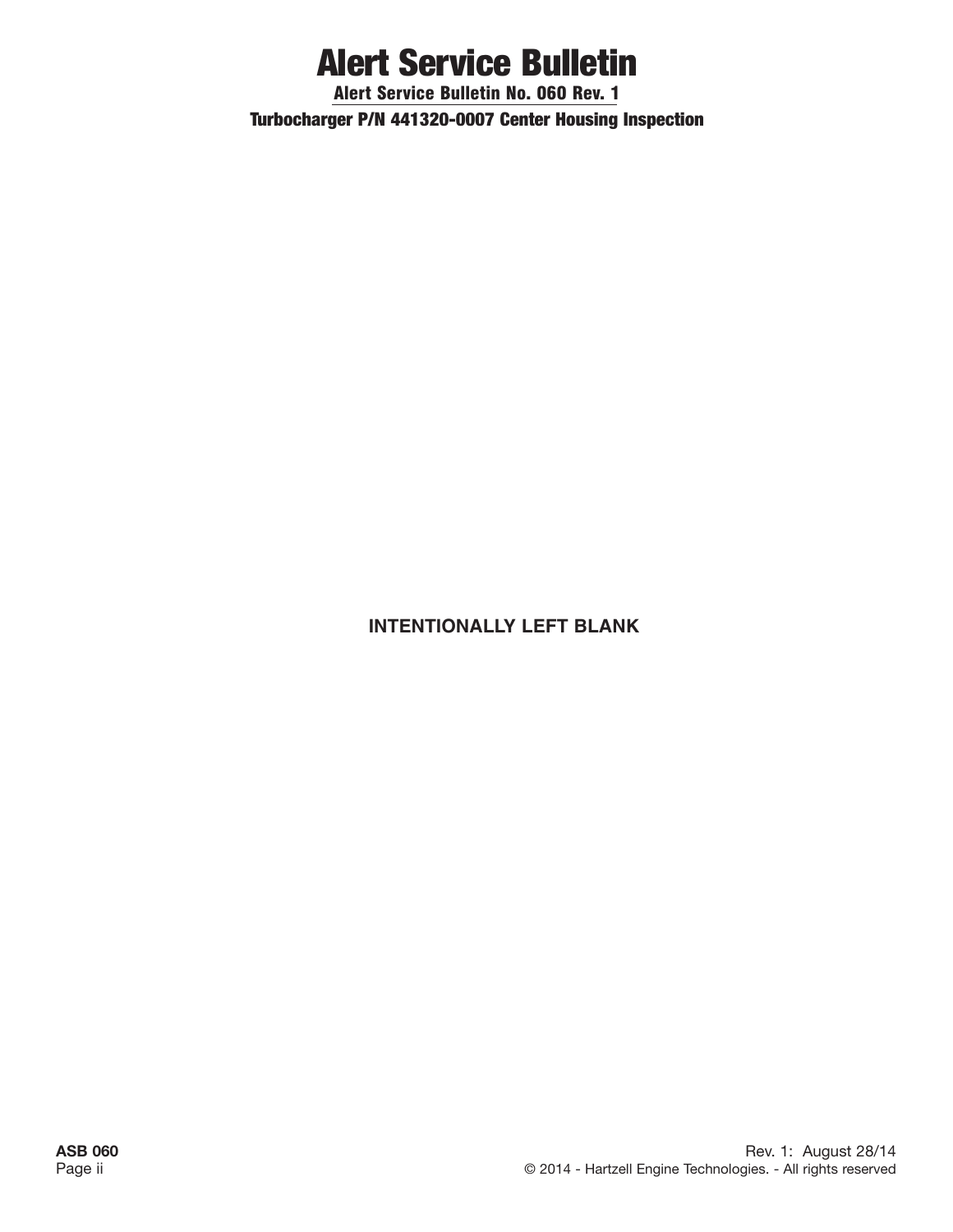Alert Service Bulletin No. 060 Rev. 1

Turbocharger P/N 441320-0007 Center Housing Inspection

### **INTENTIONALLY LEFT BLANK**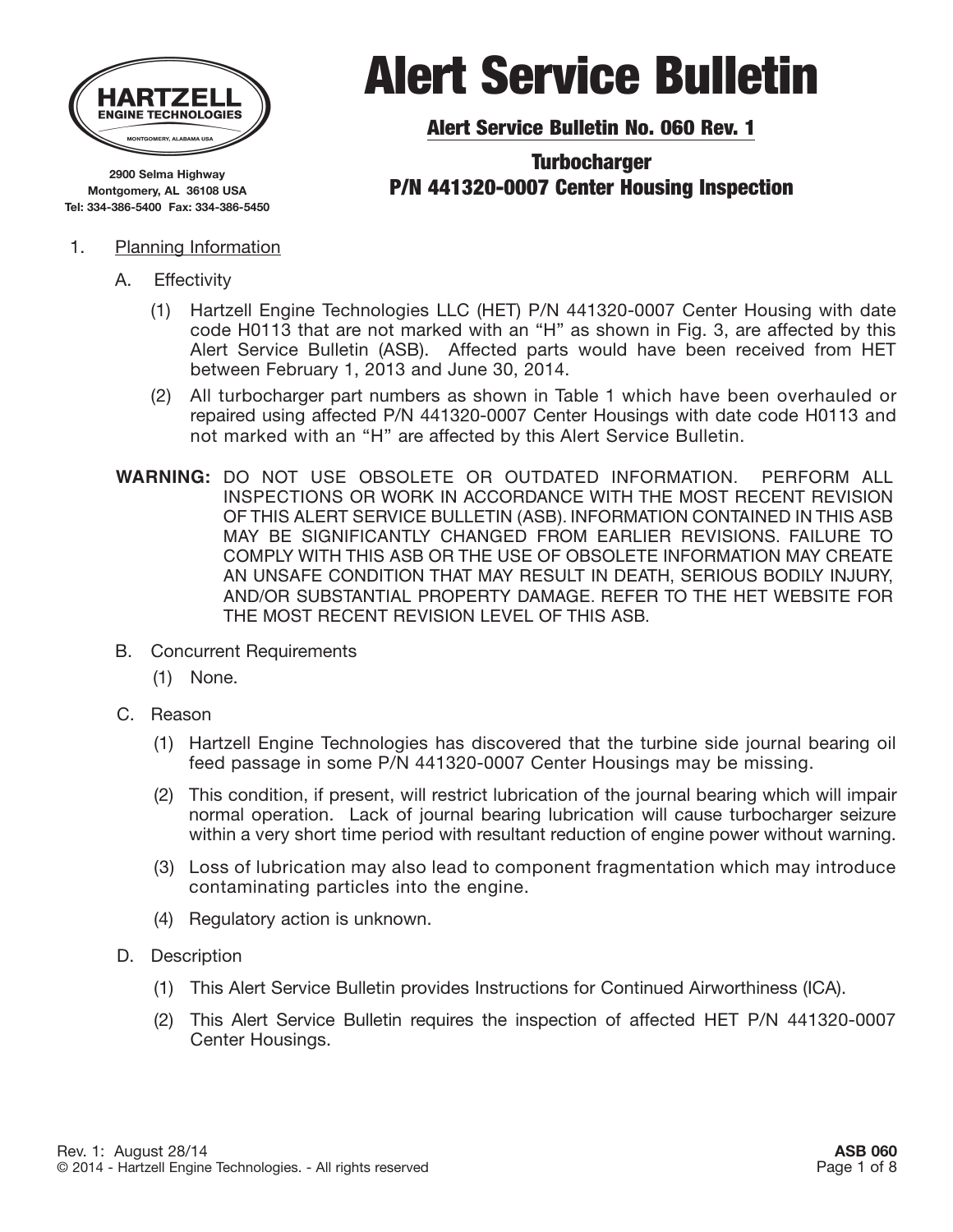

**2900 Selma Highway Montgomery, AL 36108 USA Tel: 334-386-5400 Fax: 334-386-5450**

#### 1. Planning Information

A. Effectivity

# Alert Service Bulletin

Alert Service Bulletin No. 060 Rev. 1

**Turbocharger** P/N 441320-0007 Center Housing Inspection

- (1) Hartzell Engine Technologies LLC (HET) P/N 441320-0007 Center Housing with date code H0113 that are not marked with an "H" as shown in Fig. 3, are affected by this Alert Service Bulletin (ASB). Affected parts would have been received from HET between February 1, 2013 and June 30, 2014.
- (2) All turbocharger part numbers as shown in Table 1 which have been overhauled or repaired using affected P/N 441320-0007 Center Housings with date code H0113 and not marked with an "H" are affected by this Alert Service Bulletin.
- **WARNING:** DO NOT USE OBSOLETE OR OUTDATED INFORMATION. PERFORM ALL INSPECTIONS OR WORK IN ACCORDANCE WITH THE MOST RECENT REVISION OF THIS ALERT SERVICE BULLETIN (ASB). INFORMATION CONTAINED IN THIS ASB MAY BE SIGNIFICANTLY CHANGED FROM EARLIER REVISIONS. FAILURE TO COMPLY WITH THIS ASB OR THE USE OF OBSOLETE INFORMATION MAY CREATE AN UNSAFE CONDITION THAT MAY RESULT IN DEATH, SERIOUS BODILY INJURY, AND/OR SUBSTANTIAL PROPERTY DAMAGE. REFER TO THE HET WEBSITE FOR THE MOST RECENT REVISION LEVEL OF THIS ASB.
- B. Concurrent Requirements
	- (1) None.
- C. Reason
	- (1) Hartzell Engine Technologies has discovered that the turbine side journal bearing oil feed passage in some P/N 441320-0007 Center Housings may be missing.
	- (2) This condition, if present, will restrict lubrication of the journal bearing which will impair normal operation. Lack of journal bearing lubrication will cause turbocharger seizure within a very short time period with resultant reduction of engine power without warning.
	- (3) Loss of lubrication may also lead to component fragmentation which may introduce contaminating particles into the engine.
	- (4) Regulatory action is unknown.
- D. Description
	- (1) This Alert Service Bulletin provides Instructions for Continued Airworthiness (ICA).
	- (2) This Alert Service Bulletin requires the inspection of affected HET P/N 441320-0007 Center Housings.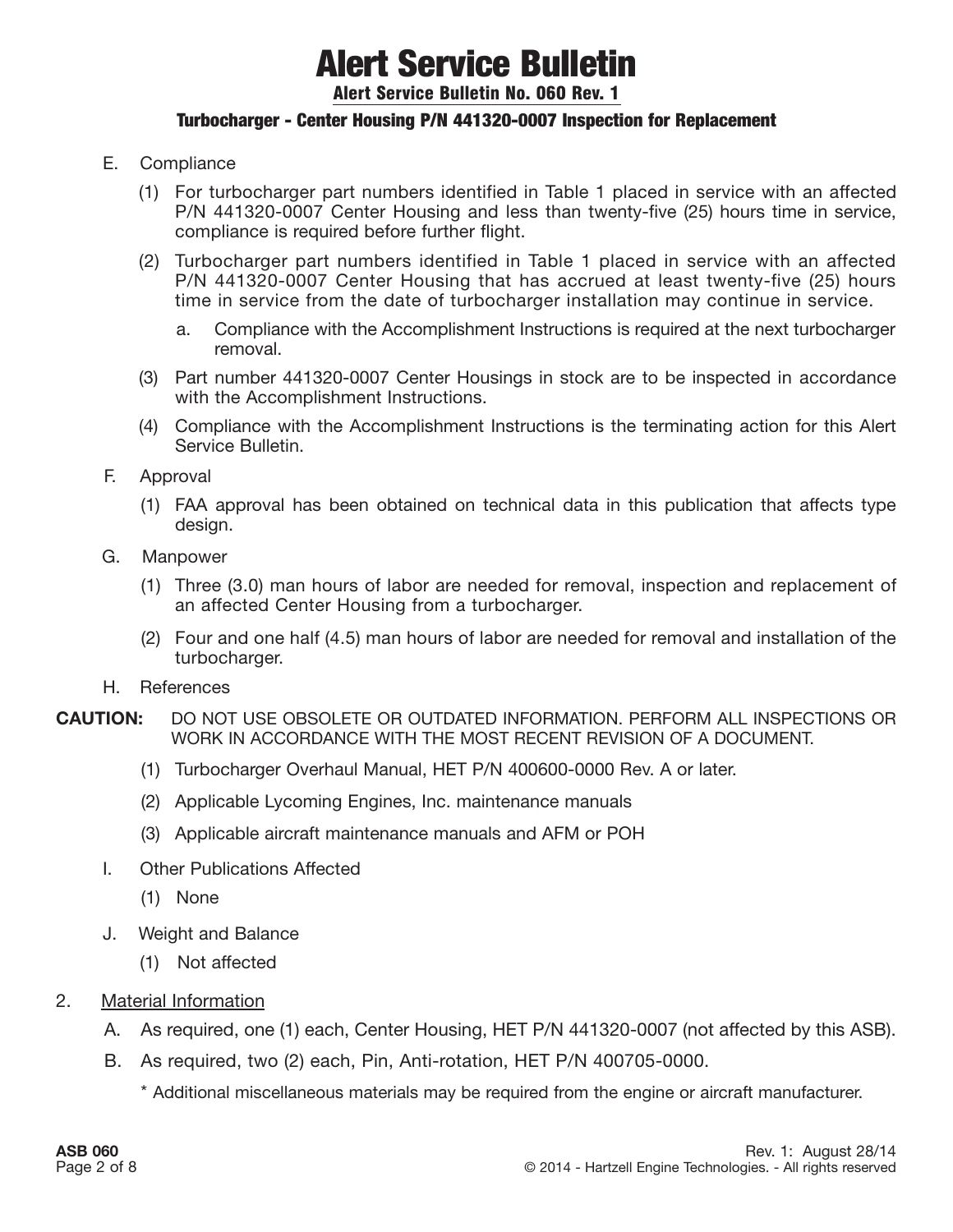Alert Service Bulletin No. 060 Rev. 1

### Turbocharger - Center Housing P/N 441320-0007 Inspection for Replacement

- E. Compliance
	- (1) For turbocharger part numbers identified in Table 1 placed in service with an affected P/N 441320-0007 Center Housing and less than twenty-five (25) hours time in service, compliance is required before further flight.
	- (2) Turbocharger part numbers identified in Table 1 placed in service with an affected P/N 441320-0007 Center Housing that has accrued at least twenty-five (25) hours time in service from the date of turbocharger installation may continue in service.
		- a. Compliance with the Accomplishment Instructions is required at the next turbocharger removal.
	- (3) Part number 441320-0007 Center Housings in stock are to be inspected in accordance with the Accomplishment Instructions.
	- (4) Compliance with the Accomplishment Instructions is the terminating action for this Alert Service Bulletin.
- F. Approval
	- (1) FAA approval has been obtained on technical data in this publication that affects type design.
- G. Manpower
	- (1) Three (3.0) man hours of labor are needed for removal, inspection and replacement of an affected Center Housing from a turbocharger.
	- (2) Four and one half (4.5) man hours of labor are needed for removal and installation of the turbocharger.
- H. References
- **CAUTION:** DO NOT USE OBSOLETE OR OUTDATED INFORMATION. PERFORM ALL INSPECTIONS OR WORK IN ACCORDANCE WITH THE MOST RECENT REVISION OF A DOCUMENT.
	- (1) Turbocharger Overhaul Manual, HET P/N 400600-0000 Rev. A or later.
	- (2) Applicable Lycoming Engines, Inc. maintenance manuals
	- (3) Applicable aircraft maintenance manuals and AFM or POH
	- I. Other Publications Affected
		- (1) None
	- J. Weight and Balance
		- (1) Not affected
- 2. Material Information
	- A. As required, one (1) each, Center Housing, HET P/N 441320-0007 (not affected by this ASB).
	- B. As required, two (2) each, Pin, Anti-rotation, HET P/N 400705-0000.
		- \* Additional miscellaneous materials may be required from the engine or aircraft manufacturer.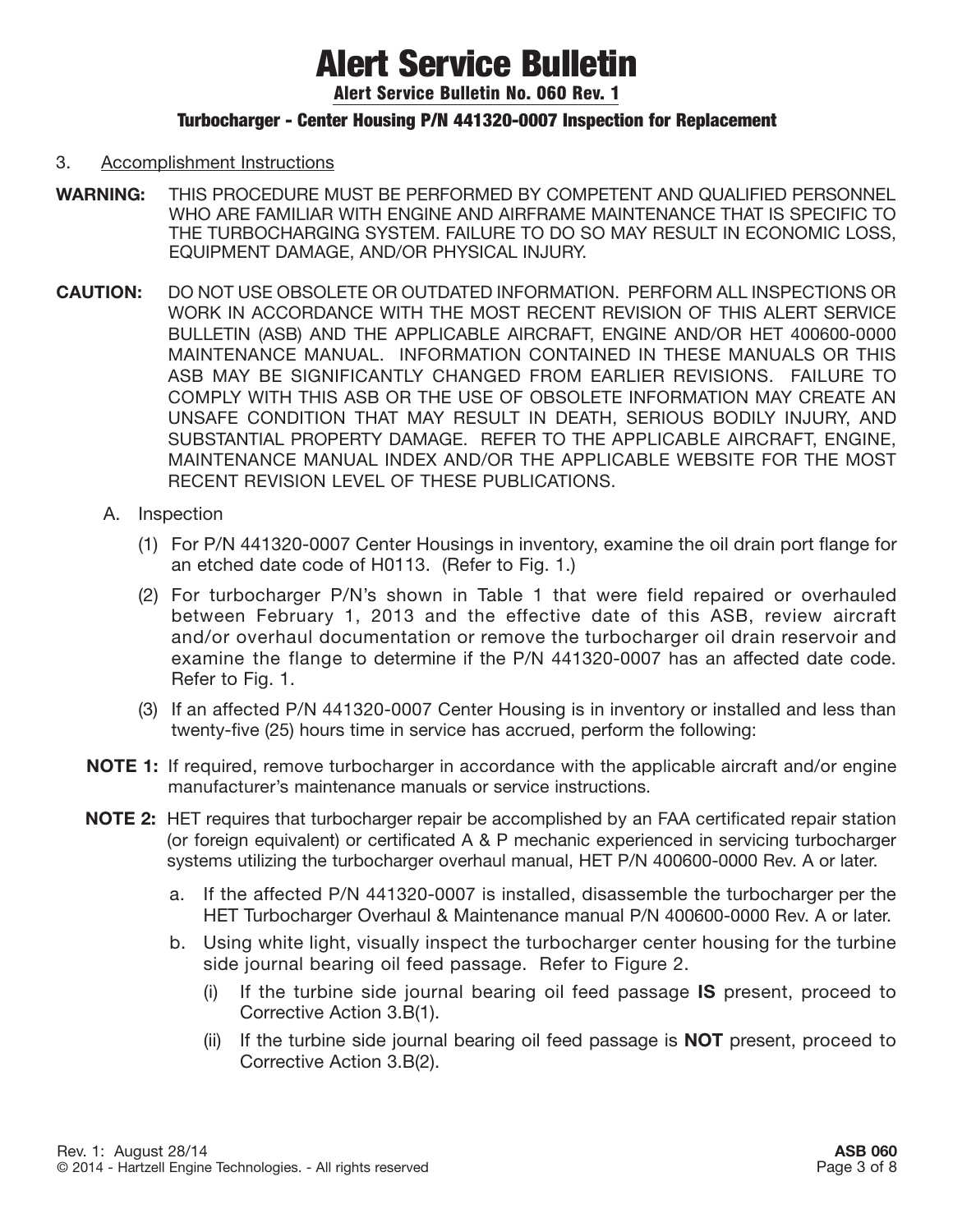Alert Service Bulletin No. 060 Rev. 1

### Turbocharger - Center Housing P/N 441320-0007 Inspection for Replacement

#### 3. Accomplishment Instructions

- **WARNING:** THIS PROCEDURE MUST BE PERFORMED BY COMPETENT AND QUALIFIED PERSONNEL WHO ARE FAMILIAR WITH ENGINE AND AIRFRAME MAINTENANCE THAT IS SPECIFIC TO THE TURBOCHARGING SYSTEM. FAILURE TO DO SO MAY RESULT IN ECONOMIC LOSS, EQUIPMENT DAMAGE, AND/OR PHYSICAL INJURY.
- **CAUTION:** DO NOT USE OBSOLETE OR OUTDATED INFORMATION. PERFORM ALL INSPECTIONS OR WORK IN ACCORDANCE WITH THE MOST RECENT REVISION OF THIS ALERT SERVICE BULLETIN (ASB) AND THE APPLICABLE AIRCRAFT, ENGINE AND/OR HET 400600-0000 MAINTENANCE MANUAL. INFORMATION CONTAINED IN THESE MANUALS OR THIS ASB MAY BE SIGNIFICANTLY CHANGED FROM EARLIER REVISIONS. FAILURE TO COMPLY WITH THIS ASB OR THE USE OF OBSOLETE INFORMATION MAY CREATE AN UNSAFE CONDITION THAT MAY RESULT IN DEATH, SERIOUS BODILY INJURY, AND SUBSTANTIAL PROPERTY DAMAGE. REFER TO THE APPLICABLE AIRCRAFT, ENGINE, MAINTENANCE MANUAL INDEX AND/OR THE APPLICABLE WEBSITE FOR THE MOST RECENT REVISION LEVEL OF THESE PUBLICATIONS.
	- A. Inspection
		- (1) For P/N 441320-0007 Center Housings in inventory, examine the oil drain port flange for an etched date code of H0113. (Refer to Fig. 1.)
		- (2) For turbocharger P/N's shown in Table 1 that were field repaired or overhauled between February 1, 2013 and the effective date of this ASB, review aircraft and/or overhaul documentation or remove the turbocharger oil drain reservoir and examine the flange to determine if the P/N 441320-0007 has an affected date code. Refer to Fig. 1.
		- (3) If an affected P/N 441320-0007 Center Housing is in inventory or installed and less than twenty-five (25) hours time in service has accrued, perform the following:
	- **NOTE 1:** If required, remove turbocharger in accordance with the applicable aircraft and/or engine manufacturer's maintenance manuals or service instructions.
	- **NOTE 2:** HET requires that turbocharger repair be accomplished by an FAA certificated repair station (or foreign equivalent) or certificated A & P mechanic experienced in servicing turbocharger systems utilizing the turbocharger overhaul manual, HET P/N 400600-0000 Rev. A or later.
		- a. If the affected P/N 441320-0007 is installed, disassemble the turbocharger per the HET Turbocharger Overhaul & Maintenance manual P/N 400600-0000 Rev. A or later.
		- b. Using white light, visually inspect the turbocharger center housing for the turbine side journal bearing oil feed passage. Refer to Figure 2.
			- (i) If the turbine side journal bearing oil feed passage **IS** present, proceed to Corrective Action 3.B(1).
			- (ii) If the turbine side journal bearing oil feed passage is **NOT** present, proceed to Corrective Action 3.B(2).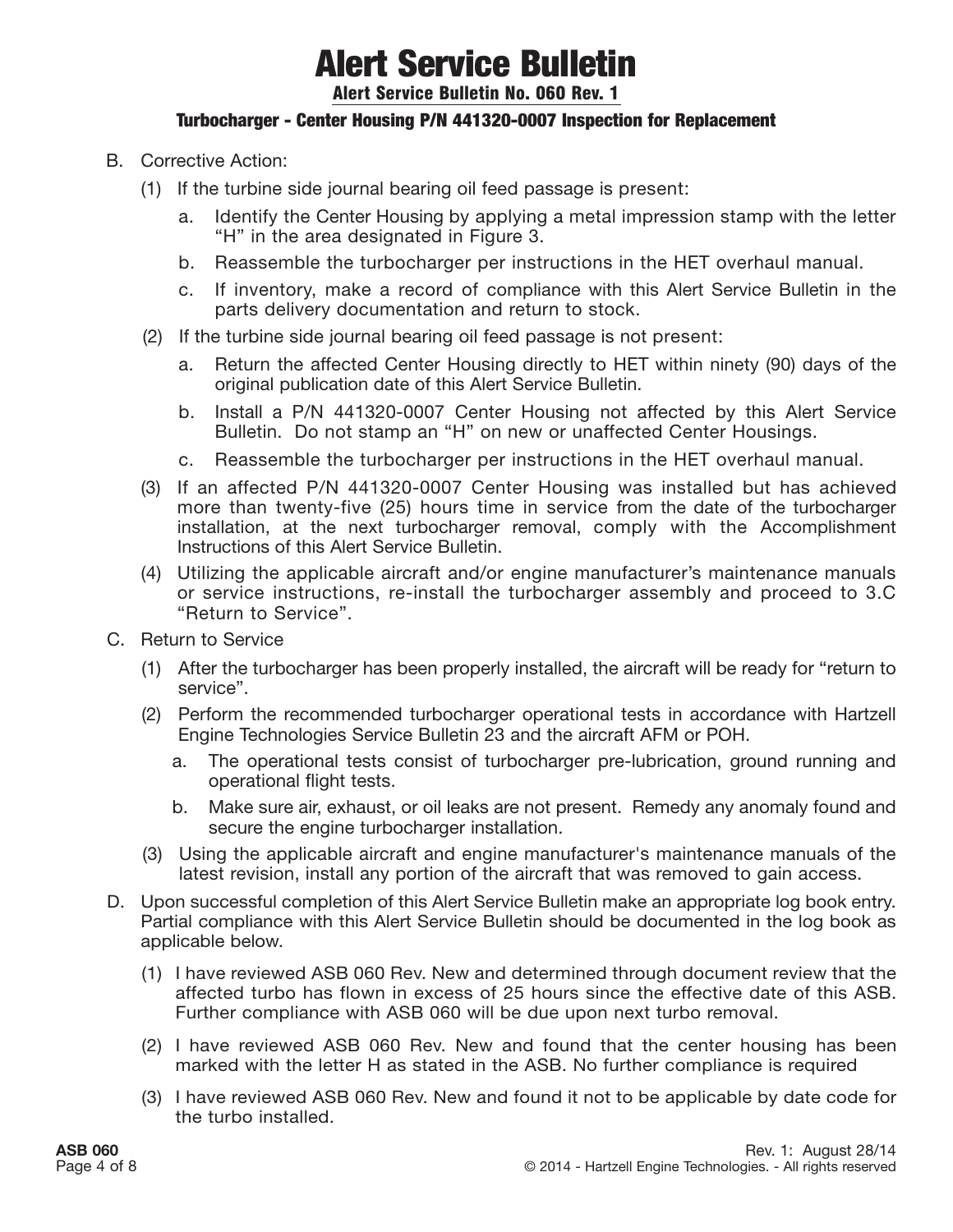Alert Service Bulletin No. 060 Rev. 1

### Turbocharger - Center Housing P/N 441320-0007 Inspection for Replacement

- B. Corrective Action:
	- (1) If the turbine side journal bearing oil feed passage is present:
		- a. Identify the Center Housing by applying a metal impression stamp with the letter "H" in the area designated in Figure 3.
		- b. Reassemble the turbocharger per instructions in the HET overhaul manual.
		- c. If inventory, make a record of compliance with this Alert Service Bulletin in the parts delivery documentation and return to stock.
	- (2) If the turbine side journal bearing oil feed passage is not present:
		- a. Return the affected Center Housing directly to HET within ninety (90) days of the original publication date of this Alert Service Bulletin.
		- b. Install a P/N 441320-0007 Center Housing not affected by this Alert Service Bulletin. Do not stamp an "H" on new or unaffected Center Housings.
		- c. Reassemble the turbocharger per instructions in the HET overhaul manual.
	- (3) If an affected P/N 441320-0007 Center Housing was installed but has achieved more than twenty-five (25) hours time in service from the date of the turbocharger installation, at the next turbocharger removal, comply with the Accomplishment Instructions of this Alert Service Bulletin.
	- (4) Utilizing the applicable aircraft and/or engine manufacturer's maintenance manuals or service instructions, re-install the turbocharger assembly and proceed to 3.C "Return to Service".
- C. Return to Service
	- (1) After the turbocharger has been properly installed, the aircraft will be ready for "return to service".
	- (2) Perform the recommended turbocharger operational tests in accordance with Hartzell Engine Technologies Service Bulletin 23 and the aircraft AFM or POH.
		- a. The operational tests consist of turbocharger pre-lubrication, ground running and operational flight tests.
		- b. Make sure air, exhaust, or oil leaks are not present. Remedy any anomaly found and secure the engine turbocharger installation.
	- (3) Using the applicable aircraft and engine manufacturer's maintenance manuals of the latest revision, install any portion of the aircraft that was removed to gain access.
- D. Upon successful completion of this Alert Service Bulletin make an appropriate log book entry. Partial compliance with this Alert Service Bulletin should be documented in the log book as applicable below.
	- (1) I have reviewed ASB 060 Rev. New and determined through document review that the affected turbo has flown in excess of 25 hours since the effective date of this ASB. Further compliance with ASB 060 will be due upon next turbo removal.
	- (2) I have reviewed ASB 060 Rev. New and found that the center housing has been marked with the letter H as stated in the ASB. No further compliance is required
	- (3) I have reviewed ASB 060 Rev. New and found it not to be applicable by date code for the turbo installed.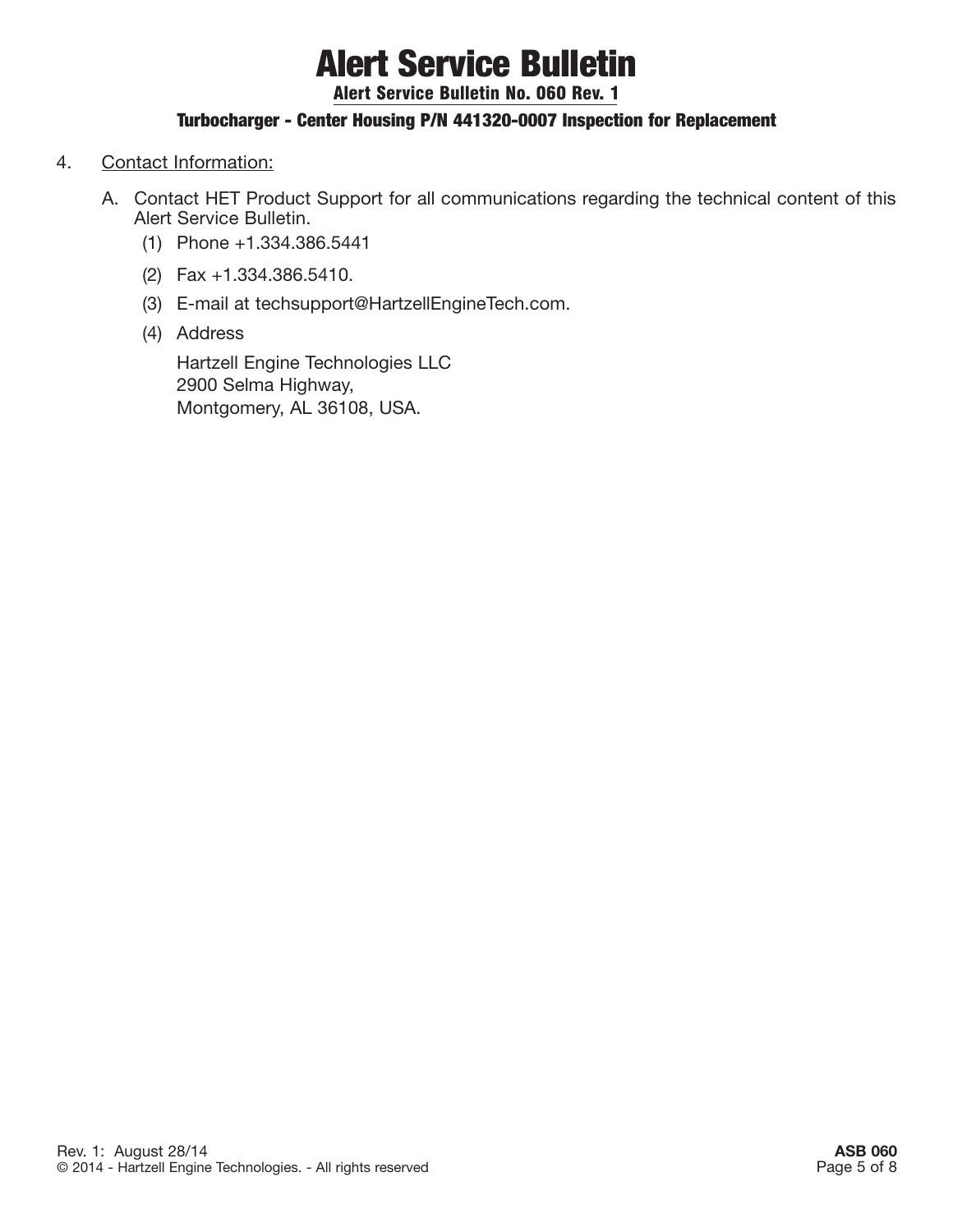Alert Service Bulletin No. 060 Rev. 1

### Turbocharger - Center Housing P/N 441320-0007 Inspection for Replacement

- 4. Contact Information:
	- A. Contact HET Product Support for all communications regarding the technical content of this Alert Service Bulletin.
		- (1) Phone +1.334.386.5441
		- (2) Fax +1.334.386.5410.
		- (3) E-mail at techsupport@HartzellEngineTech.com.
		- (4) Address

Hartzell Engine Technologies LLC 2900 Selma Highway, Montgomery, AL 36108, USA.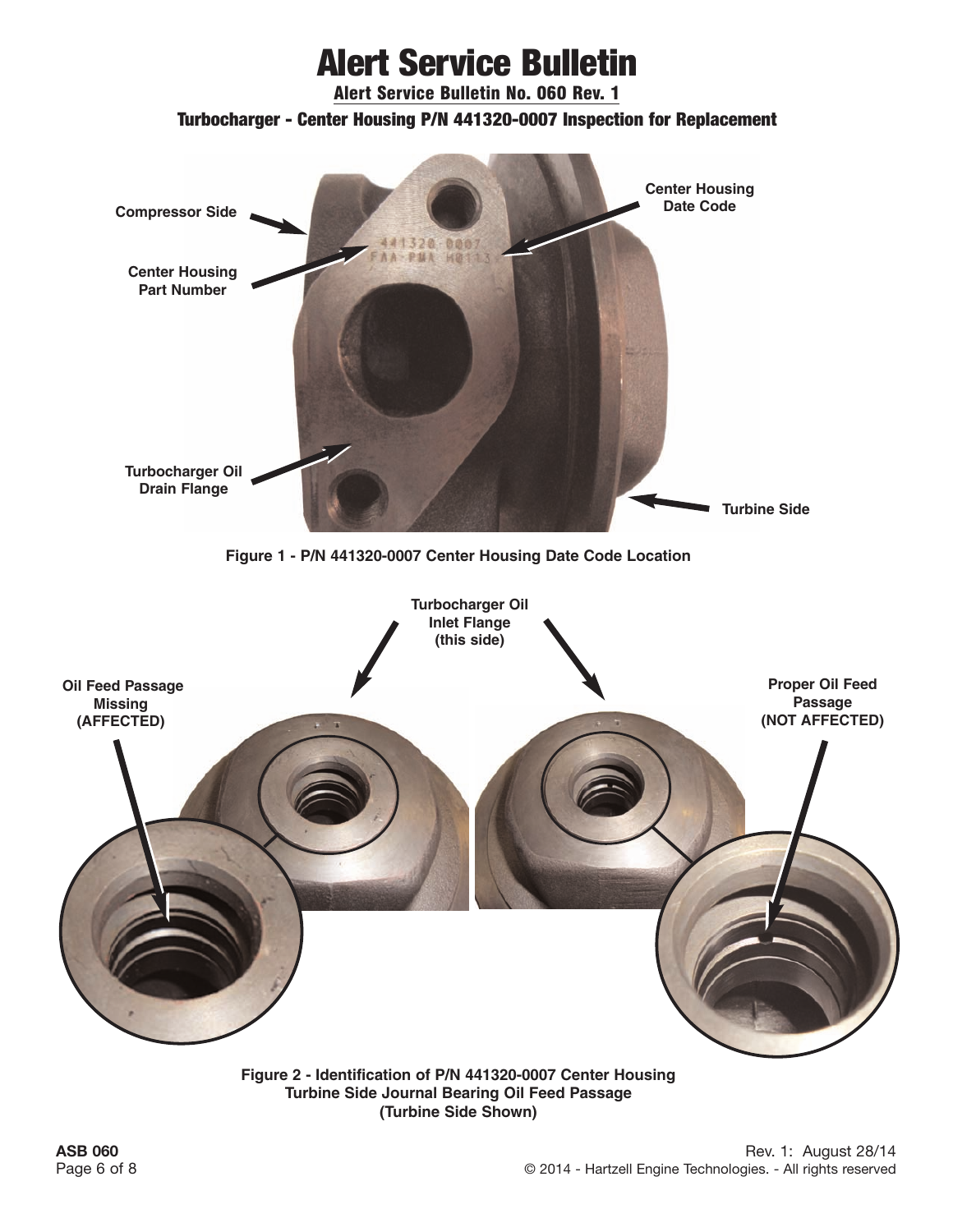

**Figure 2 - Identification of P/N 441320-0007 Center Housing Turbine Side Journal Bearing Oil Feed Passage (Turbine Side Shown)**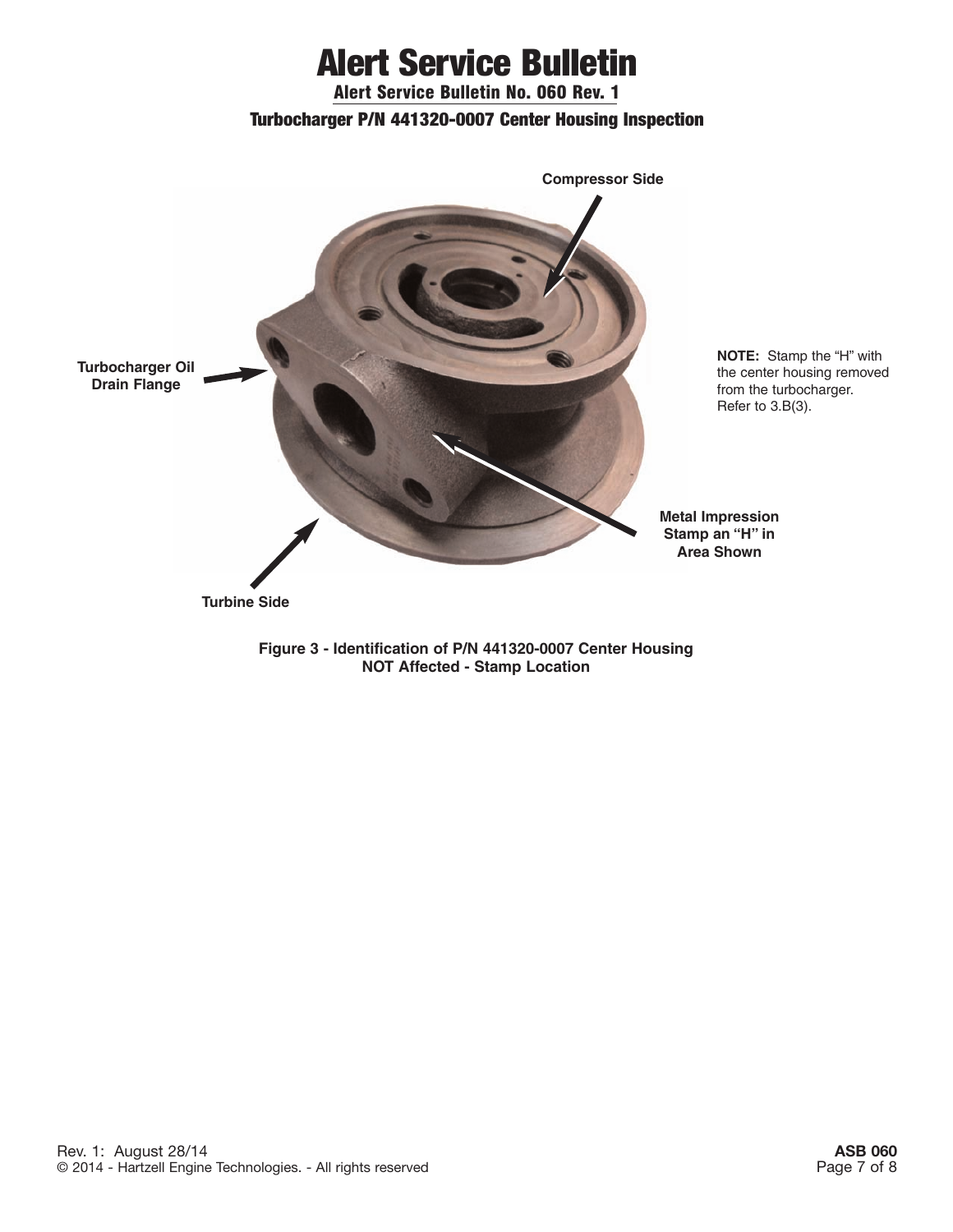Alert Service Bulletin No. 060 Rev. 1

### Turbocharger P/N 441320-0007 Center Housing Inspection



**Figure 3 - Identification of P/N 441320-0007 Center Housing NOT Affected - Stamp Location**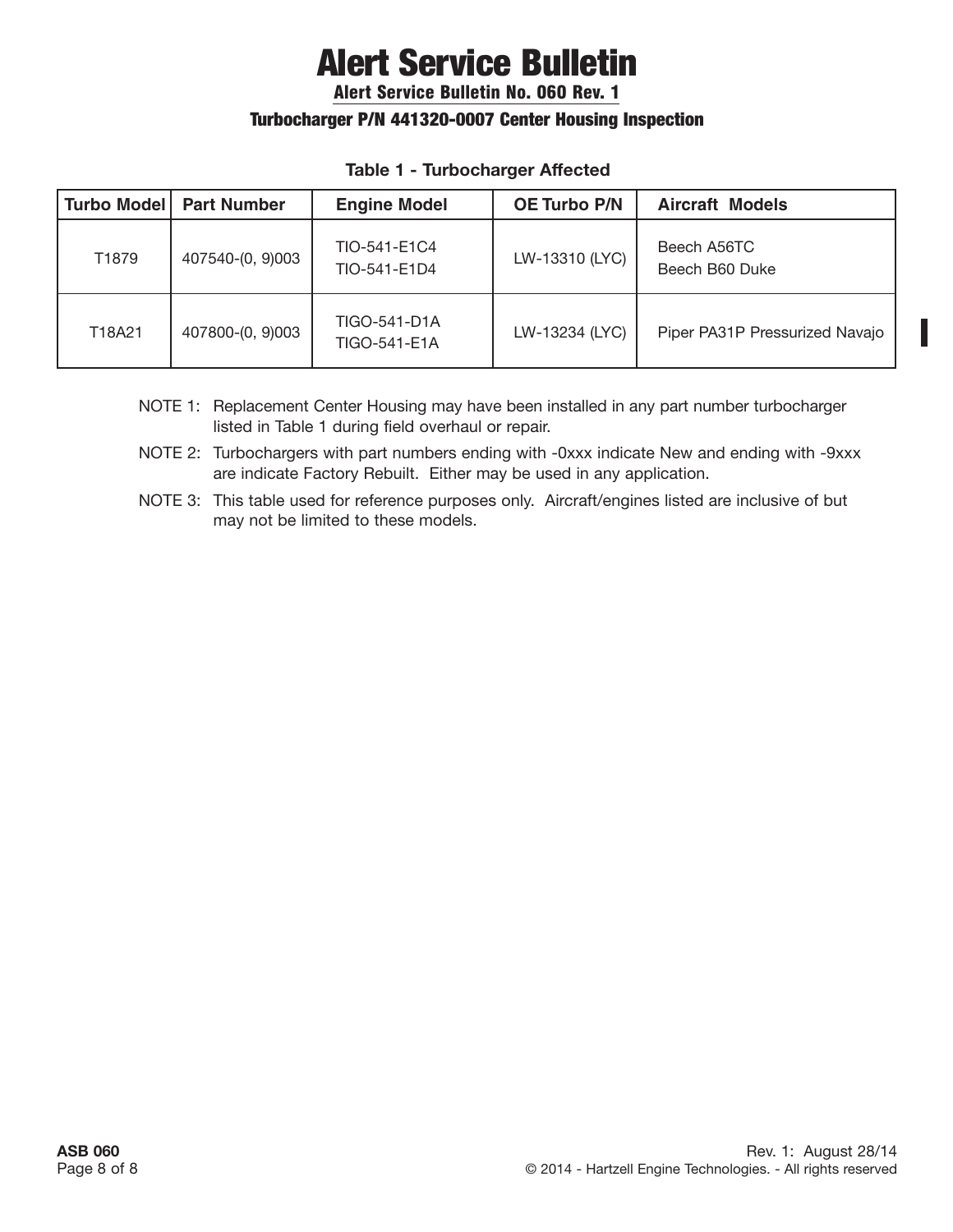Alert Service Bulletin No. 060 Rev. 1

### Turbocharger P/N 441320-0007 Center Housing Inspection

| <b>Turbo Model</b> | <b>Part Number</b> | <b>Engine Model</b>                 | <b>OE Turbo P/N</b> | <b>Aircraft Models</b>         |
|--------------------|--------------------|-------------------------------------|---------------------|--------------------------------|
| T1879              | 407540-(0, 9)003   | TIO-541-E1C4<br>TIO-541-E1D4        | LW-13310 (LYC)      | Beech A56TC<br>Beech B60 Duke  |
| T18A21             | 407800-(0, 9)003   | TIGO-541-D1A<br><b>TIGO-541-E1A</b> | LW-13234 (LYC)      | Piper PA31P Pressurized Navajo |

### **Table 1 - Turbocharger Affected**

- NOTE 1: Replacement Center Housing may have been installed in any part number turbocharger listed in Table 1 during field overhaul or repair.
- NOTE 2: Turbochargers with part numbers ending with -0xxx indicate New and ending with -9xxx are indicate Factory Rebuilt. Either may be used in any application.
- NOTE 3: This table used for reference purposes only. Aircraft/engines listed are inclusive of but may not be limited to these models.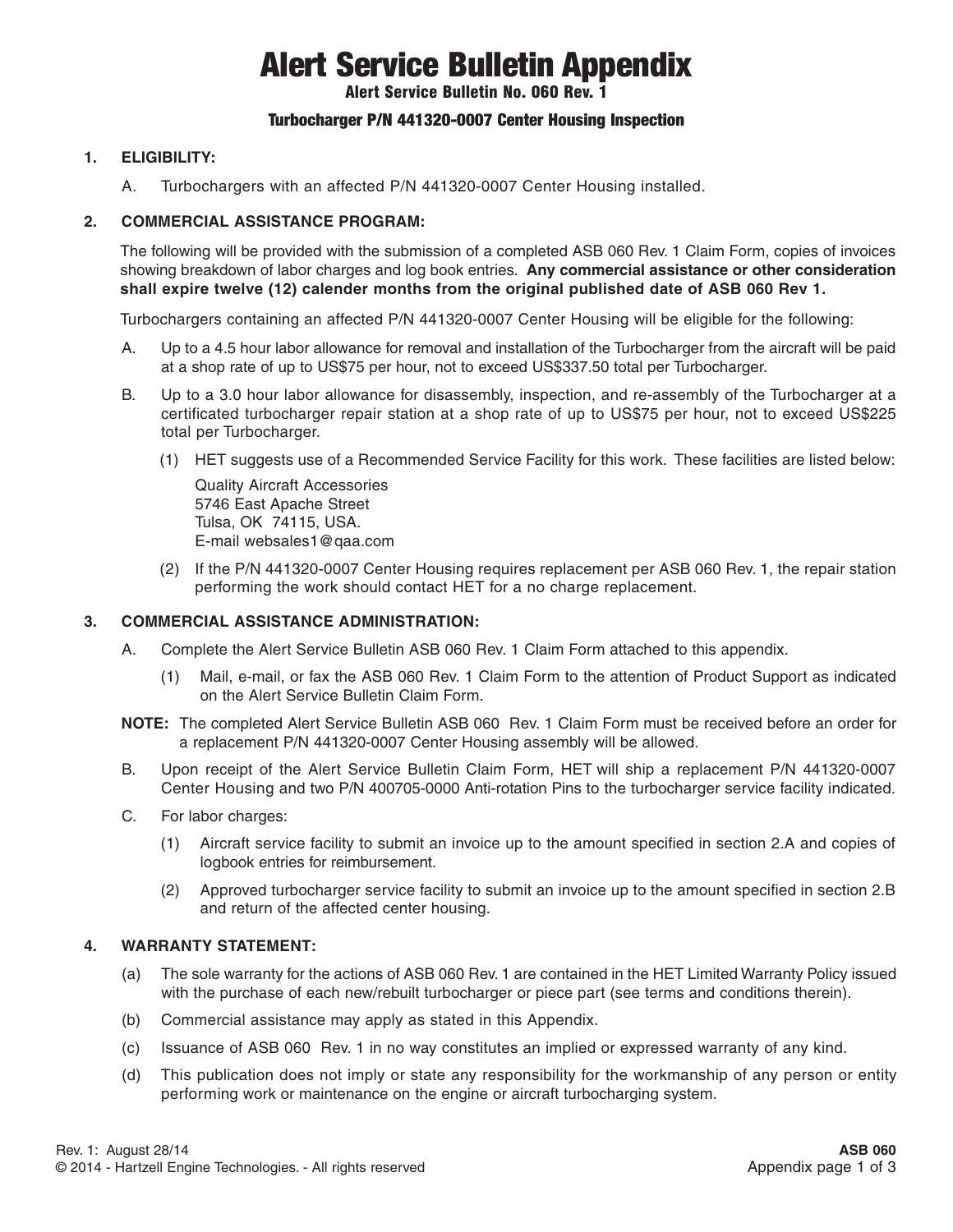### Alert Service Bulletin Appendix

Alert Service Bulletin No. 060 Rev. 1

#### Turbocharger P/N 441320-0007 Center Housing Inspection

#### **1. ELIGIBILITY:**

A. Turbochargers with an affected P/N 441320-0007 Center Housing installed.

#### **2. COMMERCIAL ASSISTANCE PROGRAM:**

The following will be provided with the submission of a completed ASB 060 Rev. 1 Claim Form, copies of invoices showing breakdown of labor charges and log book entries. **Any commercial assistance or other consideration shall expire twelve (12) calender months from the original published date of ASB 060 Rev 1.**

Turbochargers containing an affected P/N 441320-0007 Center Housing will be eligible for the following:

- A. Up to a 4.5 hour labor allowance for removal and installation of the Turbocharger from the aircraft will be paid at a shop rate of up to US\$75 per hour, not to exceed US\$337.50 total per Turbocharger.
- B. Up to a 3.0 hour labor allowance for disassembly, inspection, and re-assembly of the Turbocharger at a certificated turbocharger repair station at a shop rate of up to US\$75 per hour, not to exceed US\$225 total per Turbocharger.
	- (1) HET suggests use of a Recommended Service Facility for this work. These facilities are listed below:

Quality Aircraft Accessories 5746 East Apache Street Tulsa, OK 74115, USA. E-mail websales1@qaa.com

(2) If the P/N 441320-0007 Center Housing requires replacement per ASB 060 Rev. 1, the repair station performing the work should contact HET for a no charge replacement.

#### **3. COMMERCIAL ASSISTANCE ADMINISTRATION:**

- A. Complete the Alert Service Bulletin ASB 060 Rev. 1 Claim Form attached to this appendix.
	- (1) Mail, e-mail, or fax the ASB 060 Rev. 1 Claim Form to the attention of Product Support as indicated on the Alert Service Bulletin Claim Form.
- **NOTE:** The completed Alert Service Bulletin ASB 060 Rev. 1 Claim Form must be received before an order for a replacement P/N 441320-0007 Center Housing assembly will be allowed.
- B. Upon receipt of the Alert Service Bulletin Claim Form, HET will ship a replacement P/N 441320-0007 Center Housing and two P/N 400705-0000 Anti-rotation Pins to the turbocharger service facility indicated.
- C. For labor charges:
	- (1) Aircraft service facility to submit an invoice up to the amount specified in section 2.A and copies of logbook entries for reimbursement.
	- (2) Approved turbocharger service facility to submit an invoice up to the amount specified in section 2.B and return of the affected center housing.

#### **4. WARRANTY STATEMENT:**

- (a) The sole warranty for the actions of ASB 060 Rev. 1 are contained in the HET Limited Warranty Policy issued with the purchase of each new/rebuilt turbocharger or piece part (see terms and conditions therein).
- (b) Commercial assistance may apply as stated in this Appendix.
- (c) Issuance of ASB 060 Rev. 1 in no way constitutes an implied or expressed warranty of any kind.
- (d) This publication does not imply or state any responsibility for the workmanship of any person or entity performing work or maintenance on the engine or aircraft turbocharging system.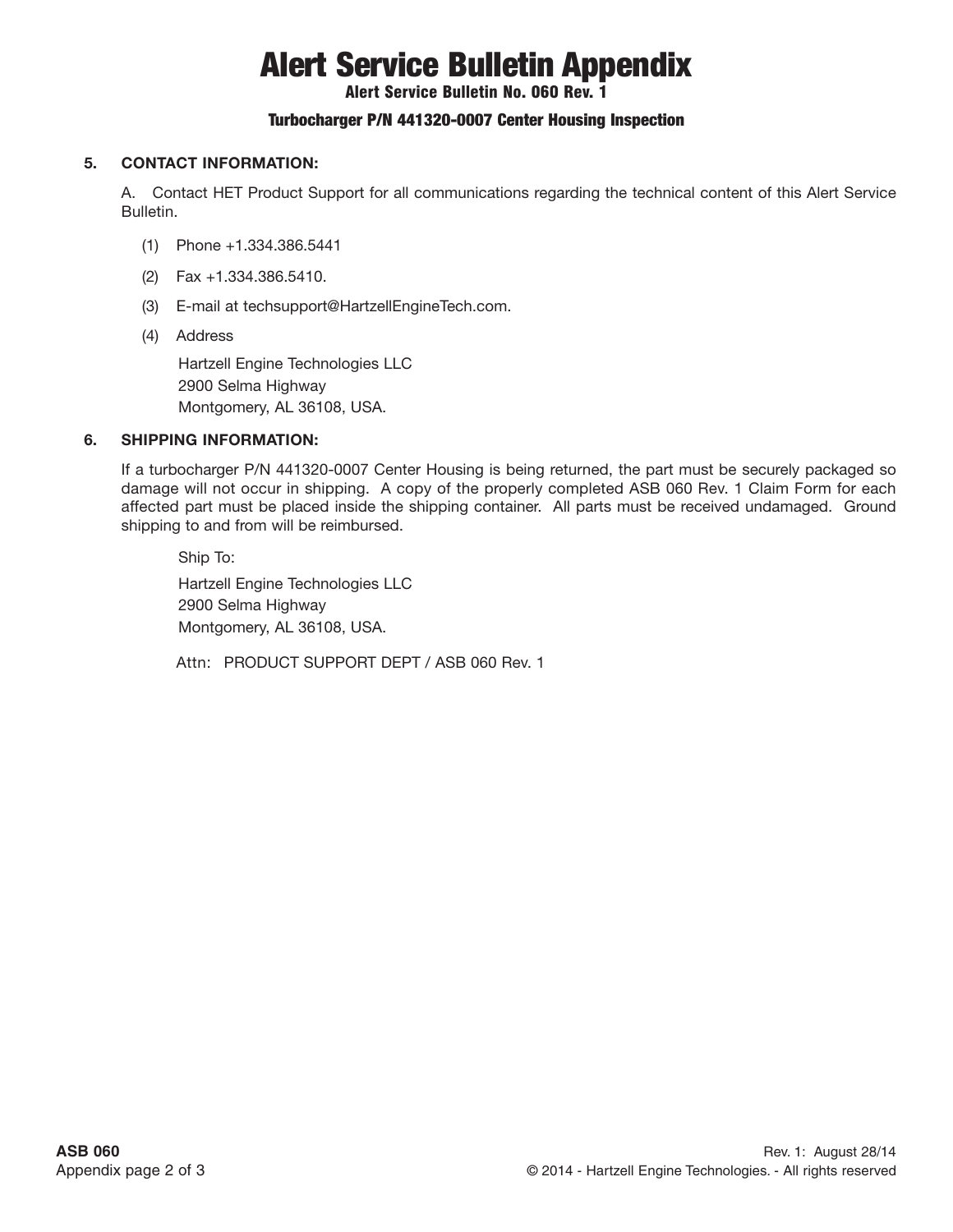### Alert Service Bulletin Appendix

Alert Service Bulletin No. 060 Rev. 1

#### Turbocharger P/N 441320-0007 Center Housing Inspection

#### **5. CONTACT INFORMATION:**

A. Contact HET Product Support for all communications regarding the technical content of this Alert Service Bulletin.

- (1) Phone +1.334.386.5441
- (2) Fax +1.334.386.5410.
- (3) E-mail at techsupport@HartzellEngineTech.com.
- (4) Address

Hartzell Engine Technologies LLC 2900 Selma Highway Montgomery, AL 36108, USA.

#### **6. SHIPPING INFORMATION:**

If a turbocharger P/N 441320-0007 Center Housing is being returned, the part must be securely packaged so damage will not occur in shipping. A copy of the properly completed ASB 060 Rev. 1 Claim Form for each affected part must be placed inside the shipping container. All parts must be received undamaged. Ground shipping to and from will be reimbursed.

Ship To: Hartzell Engine Technologies LLC 2900 Selma Highway Montgomery, AL 36108, USA.

Attn: PRODUCT SUPPORT DEPT / ASB 060 Rev. 1